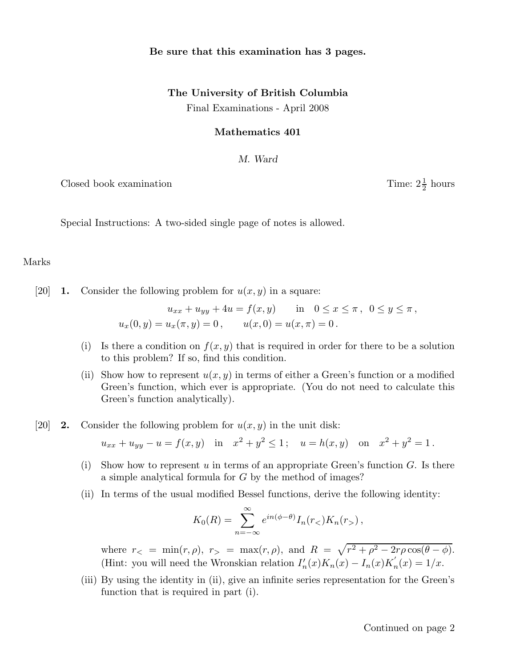## Be sure that this examination has 3 pages.

# The University of British Columbia Final Examinations - April 2008

#### Mathematics 401

#### M. Ward

Closed book examination

1  $\frac{1}{2}$  hours

Special Instructions: A two-sided single page of notes is allowed.

### Marks

[20] **1.** Consider the following problem for  $u(x, y)$  in a square:

$$
u_{xx} + u_{yy} + 4u = f(x, y) \quad \text{in} \quad 0 \le x \le \pi, \ \ 0 \le y \le \pi,
$$
  

$$
u_x(0, y) = u_x(\pi, y) = 0, \qquad u(x, 0) = u(x, \pi) = 0.
$$

- (i) Is there a condition on  $f(x, y)$  that is required in order for there to be a solution to this problem? If so, find this condition.
- (ii) Show how to represent  $u(x, y)$  in terms of either a Green's function or a modified Green's function, which ever is appropriate. (You do not need to calculate this Green's function analytically).
- [20] **2.** Consider the following problem for  $u(x, y)$  in the unit disk:

$$
u_{xx} + u_{yy} - u = f(x, y)
$$
 in  $x^2 + y^2 \le 1$ ;  $u = h(x, y)$  on  $x^2 + y^2 = 1$ .

- (i) Show how to represent u in terms of an appropriate Green's function  $G$ . Is there a simple analytical formula for G by the method of images?
- (ii) In terms of the usual modified Bessel functions, derive the following identity:

$$
K_0(R) = \sum_{n=-\infty}^{\infty} e^{in(\phi - \theta)} I_n(r_<) K_n(r_>) ,
$$

where  $r<sub>lt</sub> = min(r, \rho), r<sub>gt</sub> = max(r, \rho), and R = \sqrt{r^2 + \rho^2 - 2r\rho \cos(\theta - \phi)}$ . (Hint: you will need the Wronskian relation  $I'_n(x)K_n(x) - I_n(x)K'_n(x) = 1/x$ .

(iii) By using the identity in (ii), give an infinite series representation for the Green's function that is required in part (i).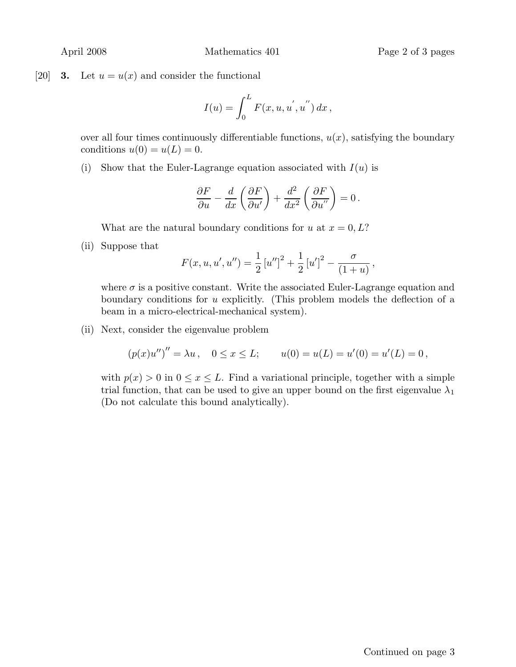[20] **3.** Let  $u = u(x)$  and consider the functional

$$
I(u) = \int_0^L F(x, u, u^{'}, u^{''}) dx,
$$

over all four times continuously differentiable functions,  $u(x)$ , satisfying the boundary conditions  $u(0) = u(L) = 0$ .

(i) Show that the Euler-Lagrange equation associated with  $I(u)$  is

$$
\frac{\partial F}{\partial u} - \frac{d}{dx} \left( \frac{\partial F}{\partial u'} \right) + \frac{d^2}{dx^2} \left( \frac{\partial F}{\partial u''} \right) = 0.
$$

What are the natural boundary conditions for u at  $x = 0, L$ ?

(ii) Suppose that

$$
F(x, u, u', u'') = \frac{1}{2} [u'']^{2} + \frac{1}{2} [u']^{2} - \frac{\sigma}{(1+u)},
$$

where  $\sigma$  is a positive constant. Write the associated Euler-Lagrange equation and boundary conditions for u explicitly. (This problem models the deflection of a beam in a micro-electrical-mechanical system).

(ii) Next, consider the eigenvalue problem

$$
(p(x)u'')'' = \lambda u
$$
,  $0 \le x \le L$ ;  $u(0) = u(L) = u'(0) = u'(L) = 0$ ,

with  $p(x) > 0$  in  $0 \le x \le L$ . Find a variational principle, together with a simple trial function, that can be used to give an upper bound on the first eigenvalue  $\lambda_1$ (Do not calculate this bound analytically).